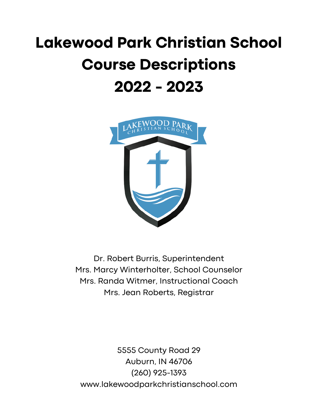# **Lakewood Park Christian School Course Descriptions 2022 - 2023**



Dr. Robert Burris, Superintendent Mrs. Marcy Winterholter, School Counselor Mrs. Randa Witmer, Instructional Coach Mrs. Jean Roberts, Registrar

5555 County Road 29 Auburn, IN 46706 (260) 925-1393 www.lakewoodparkchristianschool.com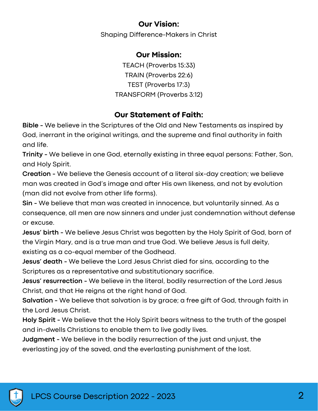### **Our Vision:**

Shaping Difference-Makers in Christ

### **Our Mission:**

TEACH (Proverbs 15:33) TRAIN (Proverbs 22:6) TEST (Proverbs 17:3) TRANSFORM (Proverbs 3:12)

### **Our Statement of Faith:**

**Bible -** We believe in the Scriptures of the Old and New Testaments as inspired by God, inerrant in the original writings, and the supreme and final authority in faith and life.

**Trinity -** We believe in one God, eternally existing in three equal persons: Father, Son, and Holy Spirit.

**Creation -** We believe the Genesis account of a literal six-day creation; we believe man was created in God's image and after His own likeness, and not by evolution (man did not evolve from other life forms).

**Sin -** We believe that man was created in innocence, but voluntarily sinned. As a consequence, all men are now sinners and under just condemnation without defense or excuse.

**Jesus' birth -** We believe Jesus Christ was begotten by the Holy Spirit of God, born of the Virgin Mary, and is a true man and true God. We believe Jesus is full deity, existing as a co-equal member of the Godhead.

**Jesus' death -** We believe the Lord Jesus Christ died for sins, according to the Scriptures as a representative and substitutionary sacrifice.

**Jesus' resurrection -** We believe in the literal, bodily resurrection of the Lord Jesus Christ, and that He reigns at the right hand of God.

**Salvation -** We believe that salvation is by grace; a free gift of God, through faith in the Lord Jesus Christ.

**Holy Spirit -** We believe that the Holy Spirit bears witness to the truth of the gospel and in-dwells Christians to enable them to live godly lives.

**Judgment -** We believe in the bodily resurrection of the just and unjust, the everlasting joy of the saved, and the everlasting punishment of the lost.

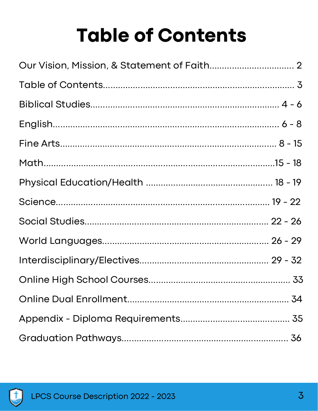# **Table of Contents**

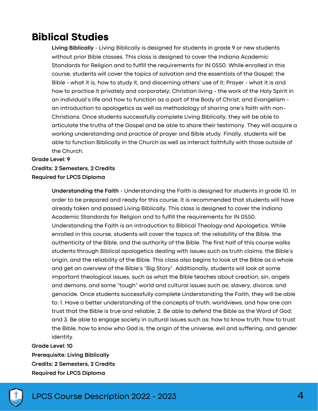# **Biblical Studies**

**Living Biblically** - Living Biblically is designed for students in grade 9 or new students without prior Bible classes. This class is designed to cover the Indiana Academic Standards for Religion and to fulfill the requirements for IN 0550. While enrolled in this course, students will cover the topics of salvation and the essentials of the Gospel; the Bible - what it is, how to study it, and discerning others' use of it; Prayer - what it is and how to practice it privately and corporately; Christian living - the work of the Holy Spirit in an individual's life and how to function as a part of the Body of Christ; and Evangelism an introduction to apologetics as well as methodology of sharing one's faith with non-Christians. Once students successfully complete Living Biblically, they will be able to articulate the truths of the Gospel and be able to share their testimony. They will acquire a working understanding and practice of prayer and Bible study. Finally, students will be able to function Biblically in the Church as well as interact faithfully with those outside of the Church.

#### **Grade Level: 9 Credits: 2 Semesters, 2 Credits Required for LPCS Diploma**

**Understanding the Faith** - Understanding the Faith is designed for students in grade 10. In order to be prepared and ready for this course, it is recommended that students will have already taken and passed Living Biblically. This class is designed to cover the Indiana Academic Standards for Religion and to fulfill the requirements for IN 0550. Understanding the Faith is an introduction to Biblical Theology and Apologetics. While enrolled in this course, students will cover the topics of: the reliability of the Bible, the authenticity of the Bible, and the authority of the Bible. The first half of this course walks students through Biblical apologetics dealing with issues such as truth claims, the Bible's origin, and the reliability of the Bible. This class also begins to look at the Bible as a whole and get an overview of the Bible's "Big Story". Additionally, students will look at some important theological issues, such as what the Bible teaches about creation, sin, angels and demons, and some "tough" world and cultural issues such as: slavery, divorce, and genocide. Once students successfully complete Understanding the Faith, they will be able to: 1. Have a better understanding of the concepts of truth, worldviews, and how one can trust that the Bible is true and reliable; 2. Be able to defend the Bible as the Word of God; and 3. Be able to engage society in cultural issues such as: how to know truth, how to trust the Bible, how to know who God is, the origin of the universe, evil and suffering, and gender identity.

### **Grade Level: 10 Prerequisite: Living Biblically Credits: 2 Semesters, 2 Credits Required for LPCS Diploma**

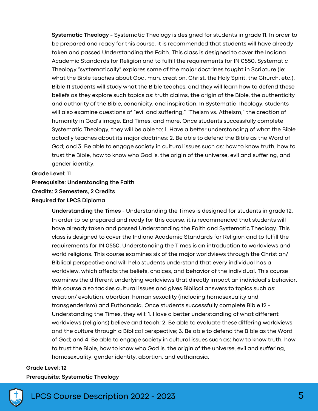**Systematic Theology -** Systematic Theology is designed for students in grade 11. In order to be prepared and ready for this course, it is recommended that students will have already taken and passed Understanding the Faith. This class is designed to cover the Indiana Academic Standards for Religion and to fulfill the requirements for IN 0550. Systematic Theology "systematically" explores some of the major doctrines taught in Scripture (ie: what the Bible teaches about God, man, creation, Christ, the Holy Spirit, the Church, etc.). Bible 11 students will study what the Bible teaches, and they will learn how to defend these beliefs as they explore such topics as: truth claims, the origin of the Bible, the authenticity and authority of the Bible, canonicity, and inspiration. In Systematic Theology, students will also examine questions of "evil and suffering," "Theism vs. Atheism," the creation of humanity in God's image, End Times, and more. Once students successfully complete Systematic Theology, they will be able to: 1. Have a better understanding of what the Bible actually teaches about its major doctrines; 2. Be able to defend the Bible as the Word of God; and 3. Be able to engage society in cultural issues such as: how to know truth, how to trust the Bible, how to know who God is, the origin of the universe, evil and suffering, and gender identity.

#### **Grade Level: 11**

#### **Prerequisite: Understanding the Faith**

#### **Credits: 2 Semesters, 2 Credits**

#### **Required for LPCS Diploma**

**Understanding the Times** - Understanding the Times is designed for students in grade 12. In order to be prepared and ready for this course, it is recommended that students will have already taken and passed Understanding the Faith and Systematic Theology. This class is designed to cover the Indiana Academic Standards for Religion and to fulfill the requirements for IN 0550. Understanding the Times is an introduction to worldviews and world religions. This course examines six of the major worldviews through the Christian/ Biblical perspective and will help students understand that every individual has a worldview, which affects the beliefs, choices, and behavior of the individual. This course examines the different underlying worldviews that directly impact an individual's behavior, this course also tackles cultural issues and gives Biblical answers to topics such as: creation/ evolution, abortion, human sexuality (including homosexuality and transgenderism) and Euthanasia. Once students successfully complete Bible 12 - Understanding the Times, they will: 1. Have a better understanding of what different worldviews (religions) believe and teach; 2. Be able to evaluate these differing worldviews and the culture through a Biblical perspective; 3. Be able to defend the Bible as the Word of God; and 4. Be able to engage society in cultural issues such as: how to know truth, how to trust the Bible, how to know who God is, the origin of the universe, evil and suffering, homosexuality, gender identity, abortion, and euthanasia.

#### **Grade Level: 12 Prerequisite: Systematic Theology**



### LPCS Course Description 2022 - 2023 5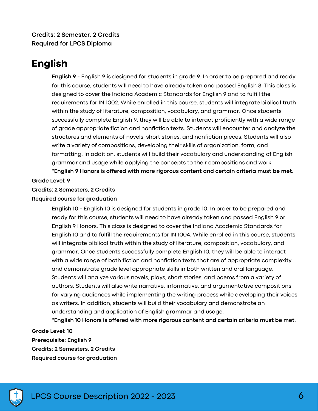**Credits: 2 Semester, 2 Credits Required for LPCS Diploma**

## **English**

**English 9** - English 9 is designed for students in grade 9. In order to be prepared and ready for this course, students will need to have already taken and passed English 8. This class is designed to cover the Indiana Academic Standards for English 9 and to fulfill the requirements for IN 1002. While enrolled in this course, students will integrate biblical truth within the study of literature, composition, vocabulary, and grammar. Once students successfully complete English 9, they will be able to interact proficiently with a wide range of grade appropriate fiction and nonfiction texts. Students will encounter and analyze the structures and elements of novels, short stories, and nonfiction pieces. Students will also write a variety of compositions, developing their skills of organization, form, and formatting. In addition, students will build their vocabulary and understanding of English grammar and usage while applying the concepts to their compositions and work. **\*English 9 Honors is offered with more rigorous content and certain criteria must be met.**

#### **Grade Level: 9**

#### **Credits: 2 Semesters, 2 Credits**

#### **Required course for graduation**

**English 10 -** English 10 is designed for students in grade 10. In order to be prepared and ready for this course, students will need to have already taken and passed English 9 or English 9 Honors. This class is designed to cover the Indiana Academic Standards for English 10 and to fulfill the requirements for IN 1004. While enrolled in this course, students will integrate biblical truth within the study of literature, composition, vocabulary, and grammar. Once students successfully complete English 10, they will be able to interact with a wide range of both fiction and nonfiction texts that are of appropriate complexity and demonstrate grade level appropriate skills in both written and oral language. Students will analyze various novels, plays, short stories, and poems from a variety of authors. Students will also write narrative, informative, and argumentative compositions for varying audiences while implementing the writing process while developing their voices as writers. In addition, students will build their vocabulary and demonstrate an understanding and application of English grammar and usage.

**\*English 10 Honors is offered with more rigorous content and certain criteria must be met.**

**Grade Level: 10 Prerequisite: English 9 Credits: 2 Semesters, 2 Credits Required course for graduation**

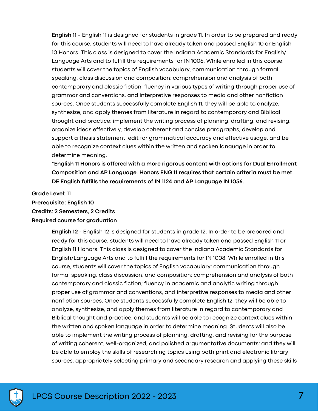**English 11 -** English 11 is designed for students in grade 11. In order to be prepared and ready for this course, students will need to have already taken and passed English 10 or English 10 Honors. This class is designed to cover the Indiana Academic Standards for English/ Language Arts and to fulfill the requirements for IN 1006. While enrolled in this course, students will cover the topics of English vocabulary, communication through formal speaking, class discussion and composition; comprehension and analysis of both contemporary and classic fiction, fluency in various types of writing through proper use of grammar and conventions, and interpretive responses to media and other nonfiction sources. Once students successfully complete English 11, they will be able to analyze, synthesize, and apply themes from literature in regard to contemporary and Biblical thought and practice; implement the writing process of planning, drafting, and revising; organize ideas effectively, develop coherent and concise paragraphs, develop and support a thesis statement, edit for grammatical accuracy and effective usage, and be able to recognize context clues within the written and spoken language in order to determine meaning.

**\*English 11 Honors is offered with a more rigorous content with options for Dual Enrollment Composition and AP Language. Honors ENG 11 requires that certain criteria must be met. DE English fulfills the requirements of IN 1124 and AP Language IN 1056.**

**Grade Level: 11**

**Prerequisite: English 10**

**Credits: 2 Semesters, 2 Credits**

**Required course for graduation**

**English 12** - English 12 is designed for students in grade 12. In order to be prepared and ready for this course, students will need to have already taken and passed English 11 or English 11 Honors. This class is designed to cover the Indiana Academic Standards for English/Language Arts and to fulfill the requirements for IN 1008. While enrolled in this course, students will cover the topics of English vocabulary; communication through formal speaking, class discussion, and composition; comprehension and analysis of both contemporary and classic fiction; fluency in academic and analytic writing through proper use of grammar and conventions, and interpretive responses to media and other nonfiction sources. Once students successfully complete English 12, they will be able to analyze, synthesize, and apply themes from literature in regard to contemporary and Biblical thought and practice, and students will be able to recognize context clues within the written and spoken language in order to determine meaning. Students will also be able to implement the writing process of planning, drafting, and revising for the purpose of writing coherent, well-organized, and polished argumentative documents; and they will be able to employ the skills of researching topics using both print and electronic library sources, appropriately selecting primary and secondary research and applying these skills

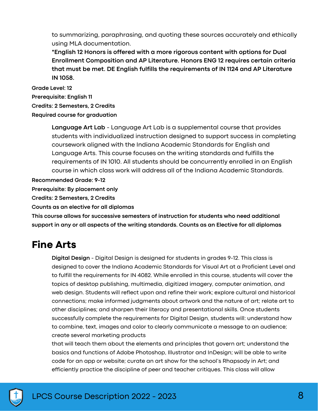to summarizing, paraphrasing, and quoting these sources accurately and ethically using MLA documentation.

**\*English 12 Honors is offered with a more rigorous content with options for Dual Enrollment Composition and AP Literature. Honors ENG 12 requires certain criteria that must be met. DE English fulfills the requirements of IN 1124 and AP Literature IN 1058.**

**Grade Level: 12 Prerequisite: English 11 Credits: 2 Semesters, 2 Credits Required course for graduation**

> **Language Art Lab** - Language Art Lab is a supplemental course that provides students with individualized instruction designed to support success in completing coursework aligned with the Indiana Academic Standards for English and Language Arts. This course focuses on the writing standards and fulfills the requirements of IN 1010. All students should be concurrently enrolled in an English course in which class work will address all of the Indiana Academic Standards.

**Recommended Grade: 9-12**

**Prerequisite: By placement only**

**Credits: 2 Semesters, 2 Credits**

**Counts as an elective for all diplomas**

**This course allows for successive semesters of instruction for students who need additional support in any or all aspects of the writing standards. Counts as an Elective for all diplomas**

## **Fine Arts**

**Digital Design** - Digital Design is designed for students in grades 9-12. This class is designed to cover the Indiana Academic Standards for Visual Art at a Proficient Level and to fulfill the requirements for IN 4082. While enrolled in this course, students will cover the topics of desktop publishing, multimedia, digitized imagery, computer animation, and web design. Students will reflect upon and refine their work; explore cultural and historical connections; make informed judgments about artwork and the nature of art; relate art to other disciplines; and sharpen their literacy and presentational skills. Once students successfully complete the requirements for Digital Design, students will: understand how to combine, text, images and color to clearly communicate a message to an audience; create several marketing products

that will teach them about the elements and principles that govern art; understand the basics and functions of Adobe Photoshop, Illustrator and InDesign; will be able to write code for an app or website; curate an art show for the school's Rhapsody in Art; and efficiently practice the discipline of peer and teacher critiques. This class will allow

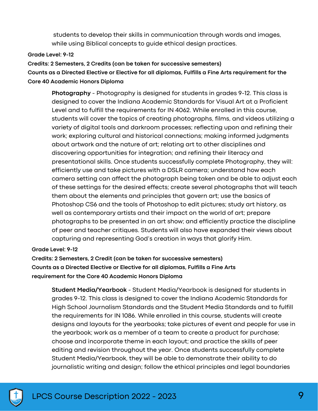students to develop their skills in communication through words and images, while using Biblical concepts to guide ethical design practices.

#### **Grade Level: 9-12**

**Credits: 2 Semesters, 2 Credits (can be taken for successive semesters) Counts as a Directed Elective or Elective for all diplomas, Fulfills a Fine Arts requirement for the Core 40 Academic Honors Diploma**

**Photography** - Photography is designed for students in grades 9-12. This class is designed to cover the Indiana Academic Standards for Visual Art at a Proficient Level and to fulfill the requirements for IN 4062. While enrolled in this course, students will cover the topics of creating photographs, films, and videos utilizing a variety of digital tools and darkroom processes; reflecting upon and refining their work; exploring cultural and historical connections; making informed judgments about artwork and the nature of art; relating art to other disciplines and discovering opportunities for integration; and refining their literacy and presentational skills. Once students successfully complete Photography, they will: efficiently use and take pictures with a DSLR camera; understand how each camera setting can affect the photograph being taken and be able to adjust each of these settings for the desired effects; create several photographs that will teach them about the elements and principles that govern art; use the basics of Photoshop CS6 and the tools of Photoshop to edit pictures; study art history, as well as contemporary artists and their impact on the world of art; prepare photographs to be presented in an art show; and efficiently practice the discipline of peer and teacher critiques. Students will also have expanded their views about capturing and representing God's creation in ways that glorify Him.

**Grade Level: 9-12**

**Credits: 2 Semesters, 2 Credit (can be taken for successive semesters) Counts as a Directed Elective or Elective for all diplomas, Fulfills a Fine Arts requirement for the Core 40 Academic Honors Diploma**

**Student Media/Yearbook** - Student Media/Yearbook is designed for students in grades 9-12. This class is designed to cover the Indiana Academic Standards for High School Journalism Standards and the Student Media Standards and to fulfill the requirements for IN 1086. While enrolled in this course, students will create designs and layouts for the yearbooks; take pictures of event and people for use in the yearbook; work as a member of a team to create a product for purchase; choose and incorporate theme in each layout; and practice the skills of peer editing and revision throughout the year. Once students successfully complete Student Media/Yearbook, they will be able to demonstrate their ability to do journalistic writing and design; follow the ethical principles and legal boundaries

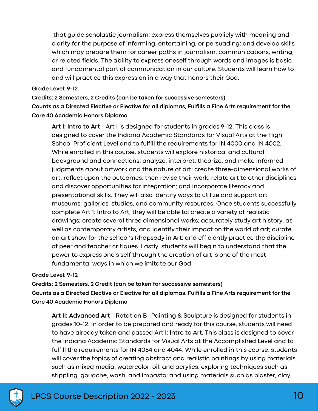that guide scholastic journalism; express themselves publicly with meaning and clarity for the purpose of informing, entertaining, or persuading; and develop skills which may prepare them for career paths in journalism, communications, writing, or related fields. The ability to express oneself through words and images is basic and fundamental part of communication in our culture. Students will learn how to and will practice this expression in a way that honors their God.

#### **Grade Level: 9-12**

**Credits: 2 Semesters, 2 Credits (can be taken for successive semesters) Counts as a Directed Elective or Elective for all diplomas, Fulfills a Fine Arts requirement for the Core 40 Academic Honors Diploma**

**Art I: Intro to Art** - Art I is designed for students in grades 9-12. This class is designed to cover the Indiana Academic Standards for Visual Arts at the High School Proficient Level and to fulfill the requirements for IN 4000 and IN 4002. While enrolled in this course, students will explore historical and cultural background and connections; analyze, interpret, theorize, and make informed judgments about artwork and the nature of art; create three-dimensional works of art, reflect upon the outcomes, then revise their work; relate art to other disciplines and discover opportunities for integration; and incorporate literacy and presentational skills. They will also identify ways to utilize and support art museums, galleries, studios, and community resources. Once students successfully complete Art 1: Intro to Art, they will be able to: create a variety of realistic drawings; create several three dimensional works; accurately study art history, as well as contemporary artists, and identify their impact on the world of art; curate an art show for the school's Rhapsody in Art; and efficiently practice the discipline of peer and teacher critiques. Lastly, students will begin to understand that the power to express one's self through the creation of art is one of the most fundamental ways in which we imitate our God.

#### **Grade Level: 9-12**

**Credits: 2 Semesters, 2 Credit (can be taken for successive semesters) Counts as a Directed Elective or Elective for all diplomas, Fulfills a Fine Arts requirement for the Core 40 Academic Honors Diploma**

**Art II: Advanced Art** - Rotation B- Painting & Sculpture is designed for students in grades 10-12. In order to be prepared and ready for this course, students will need to have already taken and passed Art I: Intro to Art. This class is designed to cover the Indiana Academic Standards for Visual Arts at the Accomplished Level and to fulfill the requirements for IN 4064 and 4044. While enrolled in this course, students will cover the topics of creating abstract and realistic paintings by using materials such as mixed media, watercolor, oil, and acrylics; exploring techniques such as stippling, gouache, wash, and impasto; and using materials such as plaster, clay,

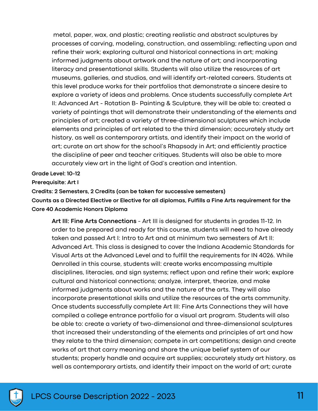metal, paper, wax, and plastic; creating realistic and abstract sculptures by processes of carving, modeling, construction, and assembling; reflecting upon and refine their work; exploring cultural and historical connections in art; making informed judgments about artwork and the nature of art; and incorporating literacy and presentational skills. Students will also utilize the resources of art museums, galleries, and studios, and will identify art-related careers. Students at this level produce works for their portfolios that demonstrate a sincere desire to explore a variety of ideas and problems. Once students successfully complete Art II: Advanced Art - Rotation B- Painting & Sculpture, they will be able to: created a variety of paintings that will demonstrate their understanding of the elements and principles of art; created a variety of three-dimensional sculptures which include elements and principles of art related to the third dimension; accurately study art history, as well as contemporary artists, and identify their impact on the world of art; curate an art show for the school's Rhapsody in Art; and efficiently practice the discipline of peer and teacher critiques. Students will also be able to more accurately view art in the light of God's creation and intention.

**Grade Level: 10-12**

**Prerequisite: Art I**

**Credits: 2 Semesters, 2 Credits (can be taken for successive semesters)**

**Counts as a Directed Elective or Elective for all diplomas, Fulfills a Fine Arts requirement for the Core 40 Academic Honors Diploma**

**Art III: Fine Arts Connections** - Art III is designed for students in grades 11-12. In order to be prepared and ready for this course, students will need to have already taken and passed Art I: Intro to Art and at minimum two semesters of Art II: Advanced Art. This class is designed to cover the Indiana Academic Standards for Visual Arts at the Advanced Level and to fulfill the requirements for IN 4026. While 0enrolled in this course, students will: create works encompassing multiple disciplines, literacies, and sign systems; reflect upon and refine their work; explore cultural and historical connections; analyze, interpret, theorize, and make informed judgments about works and the nature of the arts. They will also incorporate presentational skills and utilize the resources of the arts community. Once students successfully complete Art III: Fine Arts Connections they will have compiled a college entrance portfolio for a visual art program. Students will also be able to: create a variety of two-dimensional and three-dimensional sculptures that increased their understanding of the elements and principles of art and how they relate to the third dimension; compete in art competitions; design and create works of art that carry meaning and share the unique belief system of our students; properly handle and acquire art supplies; accurately study art history, as well as contemporary artists, and identify their impact on the world of art; curate

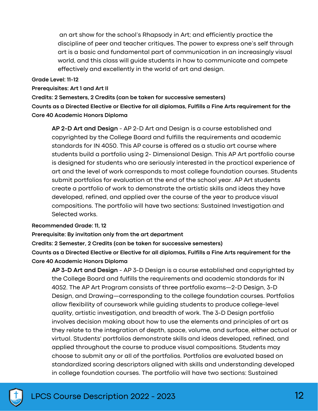an art show for the school's Rhapsody in Art; and efficiently practice the discipline of peer and teacher critiques. The power to express one's self through art is a basic and fundamental part of communication in an increasingly visual world, and this class will guide students in how to communicate and compete effectively and excellently in the world of art and design.

#### **Grade Level: 11-12**

#### **Prerequisites: Art 1 and Art II**

**Credits: 2 Semesters, 2 Credits (can be taken for successive semesters)**

**Counts as a Directed Elective or Elective for all diplomas, Fulfills a Fine Arts requirement for the Core 40 Academic Honors Diploma**

**AP 2-D Art and Design** - AP 2-D Art and Design is a course established and copyrighted by the College Board and fulfills the requirements and academic standards for IN 4050. This AP course is offered as a studio art course where students build a portfolio using 2- Dimensional Design. This AP Art portfolio course is designed for students who are seriously interested in the practical experience of art and the level of work corresponds to most college foundation courses. Students submit portfolios for evaluation at the end of the school year. AP Art students create a portfolio of work to demonstrate the artistic skills and ideas they have developed, refined, and applied over the course of the year to produce visual compositions. The portfolio will have two sections: Sustained Investigation and Selected works.

#### **Recommended Grade: 11, 12**

**Prerequisite: By invitation only from the art department**

**Credits: 2 Semester, 2 Credits (can be taken for successive semesters) Counts as a Directed Elective or Elective for all diplomas, Fulfills a Fine Arts requirement for the Core 40 Academic Honors Diploma**

**AP 3-D Art and Design** - AP 3-D Design is a course established and copyrighted by the College Board and fulfills the requirements and academic standards for IN 4052. The AP Art Program consists of three portfolio exams—2-D Design, 3-D Design, and Drawing—corresponding to the college foundation courses. Portfolios allow flexibility of coursework while guiding students to produce college-level quality, artistic investigation, and breadth of work. The 3-D Design portfolio involves decision making about how to use the elements and principles of art as they relate to the integration of depth, space, volume, and surface, either actual or virtual. Students' portfolios demonstrate skills and ideas developed, refined, and applied throughout the course to produce visual compositions. Students may choose to submit any or all of the portfolios. Portfolios are evaluated based on standardized scoring descriptors aligned with skills and understanding developed in college foundation courses. The portfolio will have two sections: Sustained

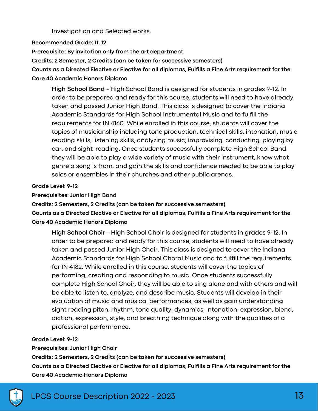Investigation and Selected works.

**Recommended Grade: 11, 12**

**Prerequisite: By invitation only from the art department**

**Credits: 2 Semester, 2 Credits (can be taken for successive semesters)**

**Counts as a Directed Elective or Elective for all diplomas, Fulfills a Fine Arts requirement for the Core 40 Academic Honors Diploma**

**High School Band** - High School Band is designed for students in grades 9-12. In order to be prepared and ready for this course, students will need to have already taken and passed Junior High Band. This class is designed to cover the Indiana Academic Standards for High School Instrumental Music and to fulfill the requirements for IN 4160. While enrolled in this course, students will cover the topics of musicianship including tone production, technical skills, intonation, music reading skills, listening skills, analyzing music, improvising, conducting, playing by ear, and sight-reading. Once students successfully complete High School Band, they will be able to play a wide variety of music with their instrument, know what genre a song is from, and gain the skills and confidence needed to be able to play solos or ensembles in their churches and other public arenas.

**Grade Level: 9-12**

**Prerequisites: Junior High Band**

**Credits: 2 Semesters, 2 Credits (can be taken for successive semesters)**

**Counts as a Directed Elective or Elective for all diplomas, Fulfills a Fine Arts requirement for the Core 40 Academic Honors Diploma**

**High School Choir** - High School Choir is designed for students in grades 9-12. In order to be prepared and ready for this course, students will need to have already taken and passed Junior High Choir. This class is designed to cover the Indiana Academic Standards for High School Choral Music and to fulfill the requirements for IN 4182. While enrolled in this course, students will cover the topics of performing, creating and responding to music. Once students successfully complete High School Choir, they will be able to sing alone and with others and will be able to listen to, analyze, and describe music. Students will develop in their evaluation of music and musical performances, as well as gain understanding sight reading pitch, rhythm, tone quality, dynamics, intonation, expression, blend, diction, expression, style, and breathing technique along with the qualities of a professional performance.

#### **Grade Level: 9-12**

**Prerequisites: Junior High Choir**

**Credits: 2 Semesters, 2 Credits (can be taken for successive semesters)**

**Counts as a Directed Elective or Elective for all diplomas, Fulfills a Fine Arts requirement for the Core 40 Academic Honors Diploma**

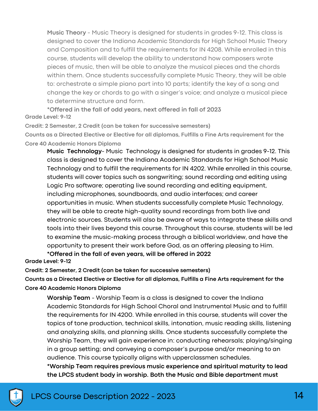**Music Theory** - Music Theory is designed for students in grades 9-12. This class is designed to cover the Indiana Academic Standards for High School Music Theory and Composition and to fulfill the requirements for IN 4208. While enrolled in this course, students will develop the ability to understand how composers wrote pieces of music, then will be able to analyze the musical pieces and the chords within them. Once students successfully complete Music Theory, they will be able to: orchestrate a simple piano part into 10 parts; identify the key of a song and change the key or chords to go with a singer's voice; and analyze a musical piece to determine structure and form.

**Grade Level: 9-12 \*Offered in the fall of odd years, next offered in fall of 2023**

**Credit: 2 Semester, 2 Credit (can be taken for successive semesters)**

**Counts as a Directed Elective or Elective for all diplomas, Fulfills a Fine Arts requirement for the Core 40 Academic Honors Diploma**

**Music Technology**- Music Technology is designed for students in grades 9-12. This class is designed to cover the Indiana Academic Standards for High School Music Technology and to fulfill the requirements for IN 4202. While enrolled in this course, students will cover topics such as songwriting; sound recording and editing using Logic Pro software; operating live sound recording and editing equipment, including microphones, soundboards, and audio interfaces; and career opportunities in music. When students successfully complete Music Technology, they will be able to create high-quality sound recordings from both live and electronic sources. Students will also be aware of ways to integrate these skills and tools into their lives beyond this course. Throughout this course, students will be led to examine the music-making process through a biblical worldview, and have the opportunity to present their work before God, as an offering pleasing to Him.

**Grade Level: 9-12 \*Offered in the fall of even years, will be offered in 2022**

**Credit: 2 Semester, 2 Credit (can be taken for successive semesters)**

**Counts as a Directed Elective or Elective for all diplomas, Fulfills a Fine Arts requirement for the Core 40 Academic Honors Diploma**

**Worship Team** - Worship Team is a class is designed to cover the Indiana Academic Standards for High School Choral and Instrumental Music and to fulfill the requirements for IN 4200. While enrolled in this course, students will cover the topics of tone production, technical skills, intonation, music reading skills, listening and analyzing skills, and planning skills. Once students successfully complete the Worship Team, they will gain experience in: conducting rehearsals; playing/singing in a group setting; and conveying a composer's purpose and/or meaning to an audience. This course typically aligns with upperclassmen schedules.

**\*Worship Team requires previous music experience and spiritual maturity to lead the LPCS student body in worship. Both the Music and Bible department must**

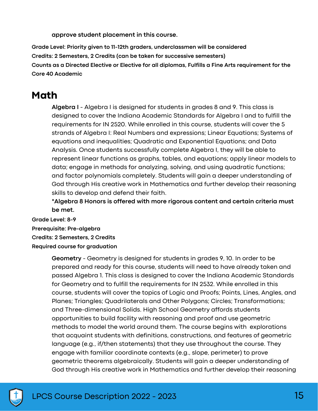**approve student placement in this course.**

**Grade Level: Priority given to 11-12th graders, underclassmen will be considered**

**Credits: 2 Semesters, 2 Credits (can be taken for successive semesters)**

**Counts as a Directed Elective or Elective for all diplomas, Fulfills a Fine Arts requirement for the Core 40 Academic**

# **Math**

**Algebra I** - Algebra I is designed for students in grades 8 and 9. This class is designed to cover the Indiana Academic Standards for Algebra I and to fulfill the requirements for IN 2520. While enrolled in this course, students will cover the 5 strands of Algebra I: Real Numbers and expressions; Linear Equations; Systems of equations and inequalities; Quadratic and Exponential Equations; and Data Analysis. Once students successfully complete Algebra I, they will be able to represent linear functions as graphs, tables, and equations; apply linear models to data; engage in methods for analyzing, solving, and using quadratic functions; and factor polynomials completely. Students will gain a deeper understanding of God through His creative work in Mathematics and further develop their reasoning skills to develop and defend their faith.

**\*Algebra 8 Honors is offered with more rigorous content and certain criteria must be met.**

**Grade Level: 8-9 Prerequisite: Pre-algebra Credits: 2 Semesters, 2 Credits Required course for graduation**

> **Geometry** - Geometry is designed for students in grades 9, 10. In order to be prepared and ready for this course, students will need to have already taken and passed Algebra 1. This class is designed to cover the Indiana Academic Standards for Geometry and to fulfill the requirements for IN 2532. While enrolled in this course, students will cover the topics of Logic and Proofs; Points, Lines, Angles, and Planes; Triangles; Quadrilaterals and Other Polygons; Circles; Transformations; and Three-dimensional Solids. High School Geometry affords students opportunities to build facility with reasoning and proof and use geometric methods to model the world around them. The course begins with explorations that acquaint students with definitions, constructions, and features of geometric language (e.g., if/then statements) that they use throughout the course. They engage with familiar coordinate contexts (e.g., slope, perimeter) to prove geometric theorems algebraically. Students will gain a deeper understanding of God through His creative work in Mathematics and further develop their reasoning

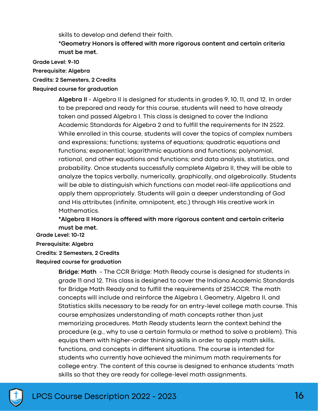skills to develop and defend their faith.

**\*Geometry Honors is offered with more rigorous content and certain criteria must be met.**

**Grade Level: 9-10**

**Prerequisite: Algebra**

**Credits: 2 Semesters, 2 Credits**

**Required course for graduation**

**Algebra II** - Algebra II is designed for students in grades 9, 10, 11, and 12. In order to be prepared and ready for this course, students will need to have already taken and passed Algebra I. This class is designed to cover the Indiana Academic Standards for Algebra 2 and to fulfill the requirements for IN 2522. While enrolled in this course, students will cover the topics of complex numbers and expressions; functions; systems of equations; quadratic equations and functions; exponential; logarithmic equations and functions; polynomial, rational, and other equations and functions; and data analysis, statistics, and probability. Once students successfully complete Algebra II, they will be able to analyze the topics verbally, numerically, graphically, and algebraically. Students will be able to distinguish which functions can model real-life applications and apply them appropriately. Students will gain a deeper understanding of God and His attributes (infinite, omnipotent, etc.) through His creative work in Mathematics.

**\*Algebra II Honors is offered with more rigorous content and certain criteria must be met.**

**Grade Level: 10-12 Prerequisite: Algebra Credits: 2 Semesters, 2 Credits Required course for graduation**

> **Bridge: Math** - The CCR Bridge: Math Ready course is designed for students in grade 11 and 12. This class is designed to cover the Indiana Academic Standards for Bridge Math Ready and to fulfill the requirements of 2514CCR. The math concepts will include and reinforce the Algebra I, Geometry, Algebra II, and Statistics skills necessary to be ready for an entry-level college math course. This course emphasizes understanding of math concepts rather than just memorizing procedures. Math Ready students learn the context behind the procedure (e.g., why to use a certain formula or method to solve a problem). This equips them with higher-order thinking skills in order to apply math skills, functions, and concepts in different situations. The course is intended for students who currently have achieved the minimum math requirements for college entry. The content of this course is designed to enhance students 'math skills so that they are ready for college-level math assignments.

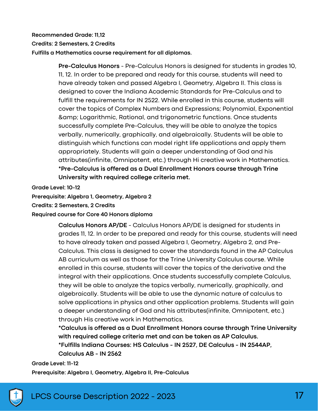#### **Recommended Grade: 11,12**

#### **Credits: 2 Semesters, 2 Credits**

**Fulfills a Mathematics course requirement for all diplomas.**

**Pre-Calculus Honors** - Pre-Calculus Honors is designed for students in grades 10, 11, 12. In order to be prepared and ready for this course, students will need to have already taken and passed Algebra I, Geometry, Algebra II. This class is designed to cover the Indiana Academic Standards for Pre-Calculus and to fulfill the requirements for IN 2522. While enrolled in this course, students will cover the topics of Complex Numbers and Expressions; Polynomial, Exponential & Logarithmic, Rational, and trigonometric functions. Once students successfully complete Pre-Calculus, they will be able to analyze the topics verbally, numerically, graphically, and algebraically. Students will be able to distinguish which functions can model right life applications and apply them appropriately. Students will gain a deeper understanding of God and his attributes(infinite, Omnipotent, etc.) through Hi creative work in Mathematics. **\*Pre-Calculus is offered as a Dual Enrollment Honors course through Trine University with required college criteria met.**

**Grade Level: 10-12**

**Prerequisite: Algebra 1, Geometry, Algebra 2**

**Credits: 2 Semesters, 2 Credits**

#### **Required course for Core 40 Honors diploma**

**Calculus Honors AP/DE** - Calculus Honors AP/DE is designed for students in grades 11, 12. In order to be prepared and ready for this course, students will need to have already taken and passed Algebra I, Geometry, Algebra 2, and Pre-Calculus. This class is designed to cover the standards found in the AP Calculus AB curriculum as well as those for the Trine University Calculus course. While enrolled in this course, students will cover the topics of the derivative and the integral with their applications. Once students successfully complete Calculus, they will be able to analyze the topics verbally, numerically, graphically, and algebraically. Students will be able to use the dynamic nature of calculus to solve applications in physics and other application problems. Students will gain a deeper understanding of God and his attributes(infinite, Omnipotent, etc.) through His creative work in Mathematics.

**\*Calculus is offered as a Dual Enrollment Honors course through Trine University with required college criteria met and can be taken as AP Calculus. \*Fulfills Indiana Courses: HS Calculus - IN 2527, DE Calculus - IN 2544AP, Calculus AB - IN 2562**

#### **Grade Level: 11-12**

**Prerequisite: Algebra I, Geometry, Algebra II, Pre-Calculus**

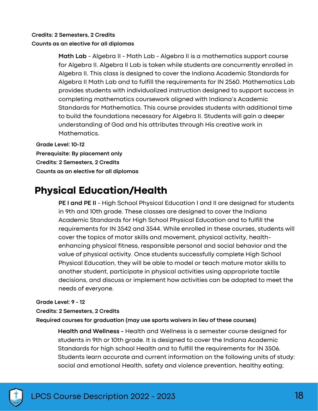#### **Credits: 2 Semesters, 2 Credits**

#### **Counts as an elective for all diplomas**

**Math Lab** - Algebra II - Math Lab - Algebra II is a mathematics support course for Algebra II. Algebra II Lab is taken while students are concurrently enrolled in Algebra II. This class is designed to cover the Indiana Academic Standards for Algebra II Math Lab and to fulfill the requirements for IN 2560. Mathematics Lab provides students with individualized instruction designed to support success in completing mathematics coursework aligned with Indiana's Academic Standards for Mathematics. This course provides students with additional time to build the foundations necessary for Algebra II. Students will gain a deeper understanding of God and his attributes through His creative work in Mathematics.

**Grade Level: 10-12 Prerequisite: By placement only Credits: 2 Semesters, 2 Credits Counts as an elective for all diplomas**

# **Physical Education/Health**

**PE I and PE II** - High School Physical Education I and II are designed for students in 9th and 10th grade. These classes are designed to cover the Indiana Academic Standards for High School Physical Education and to fulfill the requirements for IN 3542 and 3544. While enrolled in these courses, students will cover the topics of motor skills and movement, physical activity, healthenhancing physical fitness, responsible personal and social behavior and the value of physical activity. Once students successfully complete High School Physical Education, they will be able to model or teach mature motor skills to another student, participate in physical activities using appropriate tactile decisions, and discuss or implement how activities can be adapted to meet the needs of everyone.

#### **Grade Level: 9 - 12**

#### **Credits: 2 Semesters, 2 Credits**

**Required courses for graduation (may use sports waivers in lieu of these courses)**

**Health and Wellness -** Health and Wellness is a semester course designed for students in 9th or 10th grade. It is designed to cover the Indiana Academic Standards for high school Health and to fulfill the requirements for IN 3506. Students learn accurate and current information on the following units of study: social and emotional Health, safety and violence prevention, healthy eating;

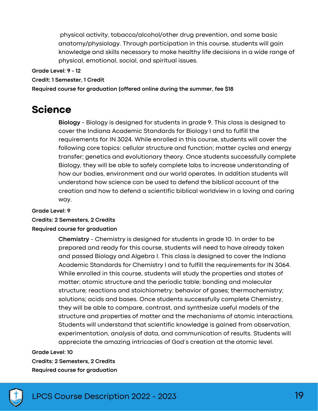physical activity, tobacco/alcohol/other drug prevention, and some basic anatomy/physiology. Through participation in this course, students will gain knowledge and skills necessary to make healthy life decisions in a wide range of physical, emotional, social, and spiritual issues.

**Grade Level: 9 - 12**

**Credit: 1 Semester, 1 Credit**

**Required course for graduation (offered online during the summer, fee \$18**

## **Science**

**Biology** - Biology is designed for students in grade 9. This class is designed to cover the Indiana Academic Standards for Biology I and to fulfill the requirements for IN 3024. While enrolled in this course, students will cover the following core topics: cellular structure and function; matter cycles and energy transfer; genetics and evolutionary theory. Once students successfully complete Biology, they will be able to safely complete labs to increase understanding of how our bodies, environment and our world operates. In addition students will understand how science can be used to defend the biblical account of the creation and how to defend a scientific biblical worldview in a loving and caring way.

#### **Grade Level: 9**

#### **Credits: 2 Semesters, 2 Credits**

#### **Required course for graduation**

**Chemistry** - Chemistry is designed for students in grade 10. In order to be prepared and ready for this course, students will need to have already taken and passed Biology and Algebra I. This class is designed to cover the Indiana Academic Standards for Chemistry I and to fulfill the requirements for IN 3064. While enrolled in this course, students will study the properties and states of matter; atomic structure and the periodic table; bonding and molecular structure; reactions and stoichiometry; behavior of gases; thermochemistry; solutions; acids and bases. Once students successfully complete Chemistry, they will be able to compare, contrast, and synthesize useful models of the structure and properties of matter and the mechanisms of atomic interactions. Students will understand that scientific knowledge is gained from observation, experimentation, analysis of data, and communication of results. Students will appreciate the amazing intricacies of God's creation at the atomic level.

#### **Grade Level: 10**

**Credits: 2 Semesters, 2 Credits Required course for graduation**

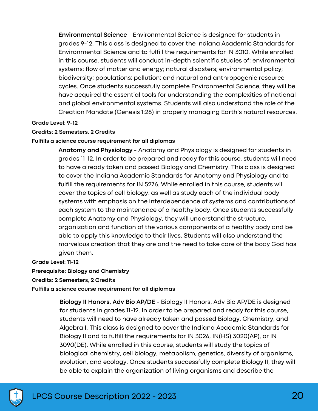**Environmental Science** - Environmental Science is designed for students in grades 9-12. This class is designed to cover the Indiana Academic Standards for Environmental Science and to fulfill the requirements for IN 3010. While enrolled in this course, students will conduct in-depth scientific studies of: environmental systems; flow of matter and energy; natural disasters; environmental policy; biodiversity; populations; pollution; and natural and anthropogenic resource cycles. Once students successfully complete Environmental Science, they will be have acquired the essential tools for understanding the complexities of national and global environmental systems. Students will also understand the role of the Creation Mandate (Genesis 1:28) in properly managing Earth's natural resources.

#### **Grade Level: 9-12**

#### **Credits: 2 Semesters, 2 Credits**

#### **Fulfills a science course requirement for all diplomas**

**Anatomy and Physiology** - Anatomy and Physiology is designed for students in grades 11-12. In order to be prepared and ready for this course, students will need to have already taken and passed Biology and Chemistry. This class is designed to cover the Indiana Academic Standards for Anatomy and Physiology and to fulfill the requirements for IN 5276. While enrolled in this course, students will cover the topics of cell biology, as well as study each of the individual body systems with emphasis on the interdependence of systems and contributions of each system to the maintenance of a healthy body. Once students successfully complete Anatomy and Physiology, they will understand the structure, organization and function of the various components of a healthy body and be able to apply this knowledge to their lives. Students will also understand the marvelous creation that they are and the need to take care of the body God has given them.

**Grade Level: 11-12**

**Prerequisite: Biology and Chemistry**

**Credits: 2 Semesters, 2 Credits**

**Fulfills a science course requirement for all diplomas**

**Biology II Honors, Adv Bio AP/DE** - Biology II Honors, Adv Bio AP/DE is designed for students in grades 11-12. In order to be prepared and ready for this course, students will need to have already taken and passed Biology, Chemistry, and Algebra I. This class is designed to cover the Indiana Academic Standards for Biology II and to fulfill the requirements for IN 3026, IN(HS) 3020(AP), or IN 3090(DE). While enrolled in this course, students will study the topics of biological chemistry, cell biology, metabolism, genetics, diversity of organisms, evolution, and ecology. Once students successfully complete Biology II, they will be able to explain the organization of living organisms and describe the

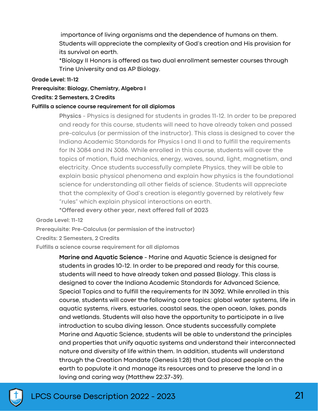importance of living organisms and the dependence of humans on them. Students will appreciate the complexity of God's creation and His provision for its survival on earth.

\*Biology II Honors is offered as two dual enrollment semester courses through Trine University and as AP Biology.

#### **Grade Level: 11-12**

**Prerequisite: Biology, Chemistry, Algebra I**

#### **Credits: 2 Semesters, 2 Credits**

#### **Fulfills a science course requirement for all diplomas**

**Physics** - Physics is designed for students in grades 11-12. In order to be prepared and ready for this course, students will need to have already taken and passed pre-calculus (or permission of the instructor). This class is designed to cover the Indiana Academic Standards for Physics I and II and to fulfill the requirements for IN 3084 and IN 3086. While enrolled in this course, students will cover the topics of motion, fluid mechanics, energy, waves, sound, light, magnetism, and electricity. Once students successfully complete Physics, they will be able to explain basic physical phenomena and explain how physics is the foundational science for understanding all other fields of science. Students will appreciate that the complexity of God's creation is elegantly governed by relatively few "rules" which explain physical interactions on earth.

**\*Offered every other year, next offered fall of 2023**

**Grade Level: 11-12**

**Prerequisite: Pre-Calculus (or permission of the instructor)**

**Credits: 2 Semesters, 2 Credits**

**Fulfills a science course requirement for all diplomas**

**Marine and Aquatic Science** - Marine and Aquatic Science is designed for students in grades 10-12. In order to be prepared and ready for this course, students will need to have already taken and passed Biology. This class is designed to cover the Indiana Academic Standards for Advanced Science, Special Topics and to fulfill the requirements for IN 3092. While enrolled in this course, students will cover the following core topics: global water systems, life in aquatic systems, rivers, estuaries, coastal seas, the open ocean, lakes, ponds and wetlands. Students will also have the opportunity to participate in a live introduction to scuba diving lesson. Once students successfully complete Marine and Aquatic Science, students will be able to understand the principles and properties that unify aquatic systems and understand their interconnected nature and diversity of life within them. In addition, students will understand through the Creation Mandate (Genesis 1:28) that God placed people on the earth to populate it and manage its resources and to preserve the land in a loving and caring way (Matthew 22:37-39).

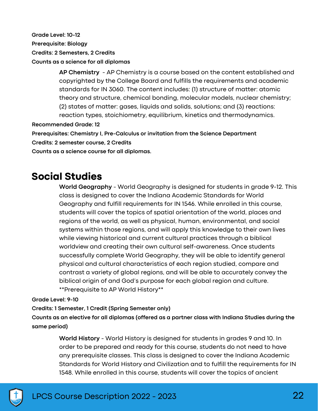**Grade Level: 10-12 Prerequisite: Biology Credits: 2 Semesters, 2 Credits Counts as a science for all diplomas**

> **AP Chemistry** - AP Chemistry is a course based on the content established and copyrighted by the College Board and fulfills the requirements and academic standards for IN 3060. The content includes: (1) structure of matter: atomic theory and structure, chemical bonding, molecular models, nuclear chemistry; (2) states of matter: gases, liquids and solids, solutions; and (3) reactions: reaction types, stoichiometry, equilibrium, kinetics and thermodynamics.

**Recommended Grade: 12**

**Prerequisites: Chemistry I, Pre-Calculus or invitation from the Science Department**

**Credits: 2 semester course, 2 Credits**

**Counts as a science course for all diplomas.**

### **Social Studies**

**World Geography** - World Geography is designed for students in grade 9-12. This class is designed to cover the Indiana Academic Standards for World Geography and fulfill requirements for IN 1546. While enrolled in this course, students will cover the topics of spatial orientation of the world, places and regions of the world, as well as physical, human, environmental, and social systems within those regions, and will apply this knowledge to their own lives while viewing historical and current cultural practices through a biblical worldview and creating their own cultural self-awareness. Once students successfully complete World Geography, they will be able to identify general physical and cultural characteristics of each region studied, compare and contrast a variety of global regions, and will be able to accurately convey the biblical origin of and God's purpose for each global region and culture. \*\*Prerequisite to AP World History\*\*

**Grade Level: 9-10**

**Credits: 1 Semester, 1 Credit (Spring Semester only)**

**Counts as an elective for all diplomas (offered as a partner class with Indiana Studies during the same period)**

> **World History** - World History is designed for students in grades 9 and 10. In order to be prepared and ready for this course, students do not need to have any prerequisite classes. This class is designed to cover the Indiana Academic Standards for World History and Civilization and to fulfill the requirements for IN 1548. While enrolled in this course, students will cover the topics of ancient

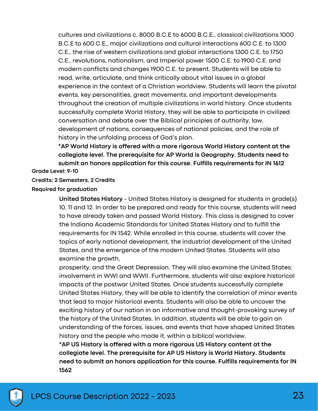cultures and civilizations c. 8000 B.C.E to 6000 B.C.E., classical civilizations 1000 B.C.E to 600 C.E., major civilizations and cultural interactions 600 C.E. to 1300 C.E., the rise of western civilizations and global interactions 1300 C.E. to 1750 C.E., revolutions, nationalism, and Imperial power 1500 C.E. to 1900 C.E. and modern conflicts and changes 1900 C.E. to present. Students will be able to read, write, articulate, and think critically about vital issues in a global experience in the context of a Christian worldview. Students will learn the pivotal events, key personalities, great movements, and important developments throughout the creation of multiple civilizations in world history. Once students successfully complete World History, they will be able to participate in civilized conversation and debate over the Biblical principles of authority, law, development of nations, consequences of national policies, and the role of history in the unfolding process of God's plan.

**\*AP World History is offered with a more rigorous World History content at the collegiate level. The prerequisite for AP World is Geography. Students need to submit an honors application for this course. Fulfills requirements for IN 1612**

**Grade Level: 9-10**

#### **Credits: 2 Semesters, 2 Credits**

#### **Required for graduation**

**United States History** - United States History is designed for students in grade(s) 10, 11 and 12. In order to be prepared and ready for this course, students will need to have already taken and passed World History. This class is designed to cover the Indiana Academic Standards for United States History and to fulfill the requirements for IN 1542. While enrolled in this course, students will cover the topics of early national development, the industrial development of the United States, and the emergence of the modern United States. Students will also examine the growth,

prosperity, and the Great Depression. They will also examine the United States; involvement in WWI and WWII. Furthermore, students will also explore historical impacts of the postwar United States. Once students successfully complete United States History, they will be able to identify the correlation of minor events that lead to major historical events. Students will also be able to uncover the exciting history of our nation in an informative and thought-provoking survey of the history of the United States. In addition, students will be able to gain an understanding of the forces, issues, and events that have shaped United States history and the people who made it, within a biblical worldview.

**\*AP US History is offered with a more rigorous US History content at the collegiate level. The prerequisite for AP US History is World History. Students need to submit an honors application for this course. Fulfills requirements for IN 1562**

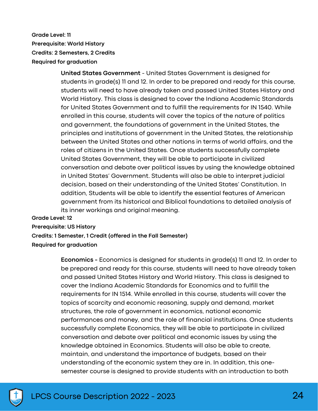**Grade Level: 11 Prerequisite: World History Credits: 2 Semesters, 2 Credits Required for graduation**

> **United States Government** - United States Government is designed for students in grade(s) 11 and 12. In order to be prepared and ready for this course, students will need to have already taken and passed United States History and World History. This class is designed to cover the Indiana Academic Standards for United States Government and to fulfill the requirements for IN 1540. While enrolled in this course, students will cover the topics of the nature of politics and government, the foundations of government in the United States, the principles and institutions of government in the United States, the relationship between the United States and other nations in terms of world affairs, and the roles of citizens in the United States. Once students successfully complete United States Government, they will be able to participate in civilized conversation and debate over political issues by using the knowledge obtained in United States' Government. Students will also be able to interpret judicial decision, based on their understanding of the United States' Constitution. In addition, Students will be able to identify the essential features of American government from its historical and Biblical foundations to detailed analysis of its inner workings and original meaning.

**Grade Level: 12**

**Prerequisite: US History**

**Credits: 1 Semester, 1 Credit (offered in the Fall Semester)**

**Required for graduation**

**Economics -** Economics is designed for students in grade(s) 11 and 12. In order to be prepared and ready for this course, students will need to have already taken and passed United States History and World History. This class is designed to cover the Indiana Academic Standards for Economics and to fulfill the requirements for IN 1514. While enrolled in this course, students will cover the topics of scarcity and economic reasoning, supply and demand, market structures, the role of government in economics, national economic performances and money, and the role of financial institutions. Once students successfully complete Economics, they will be able to participate in civilized conversation and debate over political and economic issues by using the knowledge obtained in Economics. Students will also be able to create, maintain, and understand the importance of budgets, based on their understanding of the economic system they are in. In addition, this onesemester course is designed to provide students with an introduction to both

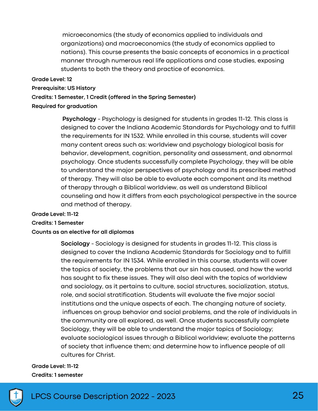microeconomics (the study of economics applied to individuals and organizations) and macroeconomics (the study of economics applied to nations). This course presents the basic concepts of economics in a practical manner through numerous real life applications and case studies, exposing students to both the theory and practice of economics.

#### **Grade Level: 12**

**Prerequisite: US History**

**Credits: 1 Semester, 1 Credit (offered in the Spring Semester)**

#### **Required for graduation**

**Psychology** - Psychology is designed for students in grades 11-12. This class is designed to cover the Indiana Academic Standards for Psychology and to fulfill the requirements for IN 1532. While enrolled in this course, students will cover many content areas such as: worldview and psychology biological basis for behavior, development, cognition, personality and assessment, and abnormal psychology. Once students successfully complete Psychology, they will be able to understand the major perspectives of psychology and its prescribed method of therapy. They will also be able to evaluate each component and its method of therapy through a Biblical worldview, as well as understand Biblical counseling and how it differs from each psychological perspective in the source and method of therapy.

#### **Grade Level: 11-12**

**Credits: 1 Semester**

#### **Counts as an elective for all diplomas**

**Sociology** - Sociology is designed for students in grades 11-12. This class is designed to cover the Indiana Academic Standards for Sociology and to fulfill the requirements for IN 1534. While enrolled in this course, students will cover the topics of society, the problems that our sin has caused, and how the world has sought to fix these issues. They will also deal with the topics of worldview and sociology, as it pertains to culture, social structures, socialization, status, role, and social stratification. Students will evaluate the five major social institutions and the unique aspects of each. The changing nature of society, influences on group behavior and social problems, and the role of individuals in the community are all explored, as well. Once students successfully complete Sociology, they will be able to understand the major topics of Sociology; evaluate sociological issues through a Biblical worldview; evaluate the patterns of society that influence them; and determine how to influence people of all cultures for Christ.

#### **Grade Level: 11-12 Credits: 1 semester**

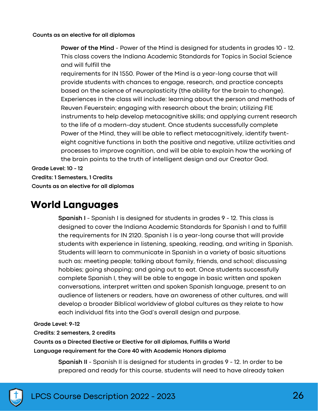#### **Counts as an elective for all diplomas**

**Power of the Mind** - Power of the Mind is designed for students in grades 10 - 12. This class covers the Indiana Academic Standards for Topics in Social Science and will fulfill the

requirements for IN 1550. Power of the Mind is a year-long course that will provide students with chances to engage, research, and practice concepts based on the science of neuroplasticity (the ability for the brain to change). Experiences in the class will include: learning about the person and methods of Reuven Feuerstein; engaging with research about the brain; utilizing FIE instruments to help develop metacognitive skills; and applying current research to the life of a modern-day student. Once students successfully complete Power of the Mind, they will be able to reflect metacognitively, identify twenteight cognitive functions in both the positive and negative, utilize activities and processes to improve cognition, and will be able to explain how the working of the brain points to the truth of intelligent design and our Creator God.

**Grade Level: 10 - 12 Credits: 1 Semesters, 1 Credits Counts as an elective for all diplomas**

# **World Languages**

**Spanish I** - Spanish I is designed for students in grades 9 - 12. This class is designed to cover the Indiana Academic Standards for Spanish I and to fulfill the requirements for IN 2120. Spanish I is a year-long course that will provide students with experience in listening, speaking, reading, and writing in Spanish. Students will learn to communicate in Spanish in a variety of basic situations such as: meeting people; talking about family, friends, and school; discussing hobbies; going shopping; and going out to eat. Once students successfully complete Spanish I, they will be able to engage in basic written and spoken conversations, interpret written and spoken Spanish language, present to an audience of listeners or readers, have an awareness of other cultures, and will develop a broader Biblical worldview of global cultures as they relate to how each individual fits into the God's overall design and purpose.

#### **Grade Level: 9-12**

**Credits: 2 semesters, 2 credits**

**Counts as a Directed Elective or Elective for all diplomas, Fulfills a World Language requirement for the Core 40 with Academic Honors diploma**

> **Spanish II** - Spanish II is designed for students in grades 9 - 12. In order to be prepared and ready for this course, students will need to have already taken

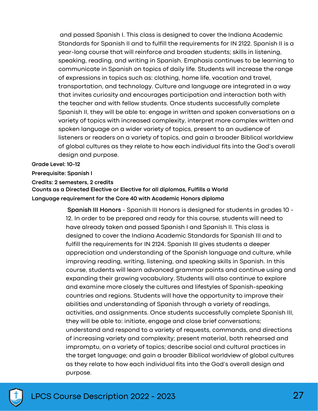and passed Spanish I. This class is designed to cover the Indiana Academic Standards for Spanish II and to fulfill the requirements for IN 2122. Spanish II is a year-long course that will reinforce and broaden students; skills in listening, speaking, reading, and writing in Spanish. Emphasis continues to be learning to communicate in Spanish on topics of daily life. Students will increase the range of expressions in topics such as: clothing, home life, vacation and travel, transportation, and technology. Culture and language are integrated in a way that invites curiosity and encourages participation and interaction both with the teacher and with fellow students. Once students successfully complete Spanish II, they will be able to: engage in written and spoken conversations on a variety of topics with increased complexity, interpret more complex written and spoken language on a wider variety of topics, present to an audience of listeners or readers on a variety of topics, and gain a broader Biblical worldview of global cultures as they relate to how each individual fits into the God's overall design and purpose.

#### **Grade Level: 10-12**

**Prerequisite: Spanish I**

#### **Credits: 2 semesters, 2 credits**

**Counts as a Directed Elective or Elective for all diplomas, Fulfills a World Language requirement for the Core 40 with Academic Honors diploma**

> **Spanish III Honors** - Spanish III Honors is designed for students in grades 10 - 12. In order to be prepared and ready for this course, students will need to have already taken and passed Spanish I and Spanish II. This class is designed to cover the Indiana Academic Standards for Spanish III and to fulfill the requirements for IN 2124. Spanish III gives students a deeper appreciation and understanding of the Spanish language and culture, while improving reading, writing, listening, and speaking skills in Spanish. In this course, students will learn advanced grammar points and continue using and expanding their growing vocabulary. Students will also continue to explore and examine more closely the cultures and lifestyles of Spanish-speaking countries and regions. Students will have the opportunity to improve their abilities and understanding of Spanish through a variety of readings, activities, and assignments. Once students successfully complete Spanish III, they will be able to: initiate, engage and close brief conversations; understand and respond to a variety of requests, commands, and directions of increasing variety and complexity; present material, both rehearsed and impromptu, on a variety of topics; describe social and cultural practices in the target language; and gain a broader Biblical worldview of global cultures as they relate to how each individual fits into the God's overall design and purpose.

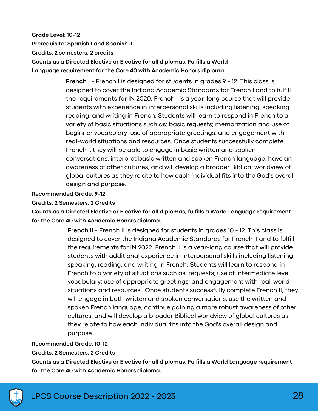**Grade Level: 10-12 Prerequisite: Spanish I and Spanish II Credits: 2 semesters, 2 credits Counts as a Directed Elective or Elective for all diplomas, Fulfills a World Language requirement for the Core 40 with Academic Honors diploma**

> **French I** - French I is designed for students in grades 9 - 12. This class is designed to cover the Indiana Academic Standards for French I and to fulfill the requirements for IN 2020. French I is a year-long course that will provide students with experience in interpersonal skills including listening, speaking, reading, and writing in French. Students will learn to respond in French to a variety of basic situations such as: basic requests; memorization and use of beginner vocabulary; use of appropriate greetings; and engagement with real-world situations and resources. Once students successfully complete French I, they will be able to engage in basic written and spoken conversations, interpret basic written and spoken French language, have an awareness of other cultures, and will develop a broader Biblical worldview of global cultures as they relate to how each individual fits into the God's overall design and purpose.

#### **Recommended Grade: 9-12**

#### **Credits: 2 Semesters, 2 Credits**

**Counts as a Directed Elective or Elective for all diplomas, fulfills a World Language requirement for the Core 40 with Academic Honors diploma.**

> **French II** - French II is designed for students in grades 10 - 12. This class is designed to cover the Indiana Academic Standards for French II and to fulfill the requirements for IN 2022. French II is a year-long course that will provide students with additional experience in interpersonal skills including listening, speaking, reading, and writing in French. Students will learn to respond in French to a variety of situations such as: requests; use of intermediate level vocabulary; use of appropriate greetings; and engagement with real-world situations and resources . Once students successfully complete French II, they will engage in both written and spoken conversations, use the written and spoken French language, continue gaining a more robust awareness of other cultures, and will develop a broader Biblical worldview of global cultures as they relate to how each individual fits into the God's overall design and purpose.

#### **Recommended Grade: 10-12**

#### **Credits: 2 Semesters, 2 Credits**

**Counts as a Directed Elective or Elective for all diplomas, Fulfills a World Language requirement for the Core 40 with Academic Honors diploma.**

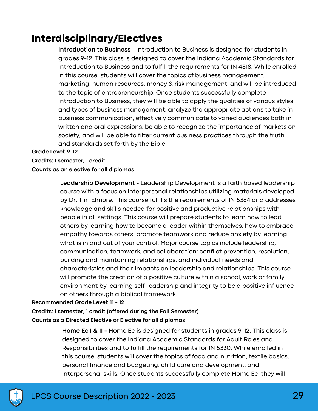# **Interdisciplinary/Electives**

**Introduction to Business** - Introduction to Business is designed for students in grades 9-12. This class is designed to cover the Indiana Academic Standards for Introduction to Business and to fulfill the requirements for IN 4518. While enrolled in this course, students will cover the topics of business management, marketing, human resources, money & risk management, and will be introduced to the topic of entrepreneurship. Once students successfully complete Introduction to Business, they will be able to apply the qualities of various styles and types of business management, analyze the appropriate actions to take in business communication, effectively communicate to varied audiences both in written and oral expressions, be able to recognize the importance of markets on society, and will be able to filter current business practices through the truth and standards set forth by the Bible.

#### **Grade Level: 9-12**

#### **Credits: 1 semester, 1 credit**

#### **Counts as an elective for all diplomas**

**Leadership Development -** Leadership Development is a faith based leadership course with a focus on interpersonal relationships utilizing materials developed by Dr. Tim Elmore. This course fulfills the requirements of IN 5364 and addresses knowledge and skills needed for positive and productive relationships with people in all settings. This course will prepare students to learn how to lead others by learning how to become a leader within themselves, how to embrace empathy towards others, promote teamwork and reduce anxiety by learning what is in and out of your control. Major course topics include leadership, communication, teamwork, and collaboration; conflict prevention, resolution, building and maintaining relationships; and individual needs and characteristics and their impacts on leadership and relationships. This course will promote the creation of a positive culture within a school, work or family environment by learning self-leadership and integrity to be a positive influence on others through a biblical framework.

#### **Recommended Grade Level: 11 - 12**

### **Credits: 1 semester, 1 credit (offered during the Fall Semester) Counts as a Directed Elective or Elective for all diplomas**

**Home Ec I & II -** Home Ec is designed for students in grades 9-12. This class is designed to cover the Indiana Academic Standards for Adult Roles and Responsibilities and to fulfill the requirements for IN 5330. While enrolled in this course, students will cover the topics of food and nutrition, textile basics, personal finance and budgeting, child care and development, and interpersonal skills. Once students successfully complete Home Ec, they will

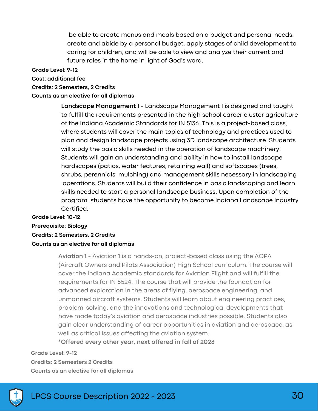be able to create menus and meals based on a budget and personal needs, create and abide by a personal budget, apply stages of child development to caring for children, and will be able to view and analyze their current and future roles in the home in light of God's word.

**Grade Level: 9-12**

**Cost: additional fee**

**Credits: 2 Semesters, 2 Credits**

**Counts as an elective for all diplomas**

**Landscape Management I** - Landscape Management I is designed and taught to fulfill the requirements presented in the high school career cluster agriculture of the Indiana Academic Standards for IN 5136. This is a project-based class, where students will cover the main topics of technology and practices used to plan and design landscape projects using 3D landscape architecture. Students will study the basic skills needed in the operation of landscape machinery. Students will gain an understanding and ability in how to install landscape hardscapes (patios, water features, retaining wall) and softscapes (trees, shrubs, perennials, mulching) and management skills necessary in landscaping operations. Students will build their confidence in basic landscaping and learn skills needed to start a personal landscape business. Upon completion of the program, students have the opportunity to become Indiana Landscape Industry Certified.

### **Grade Level: 10-12 Prerequisite: Biology**

#### **Credits: 2 Semesters, 2 Credits**

#### **Counts as an elective for all diplomas**

**Aviation 1** - Aviation 1 is a hands-on, project-based class using the AOPA (Aircraft Owners and Pilots Association) High School curriculum. The course will cover the Indiana Academic standards for Aviation Flight and will fulfill the requirements for IN 5524. The course that will provide the foundation for advanced exploration in the areas of flying, aerospace engineering, and unmanned aircraft systems. Students will learn about engineering practices, problem-solving, and the innovations and technological developments that have made today's aviation and aerospace industries possible. Students also gain clear understanding of career opportunities in aviation and aerospace, as well as critical issues affecting the aviation system.

**\*Offered every other year, next offered in fall of 2023**

**Grade Level: 9-12 Credits: 2 Semesters 2 Credits Counts as an elective for all diplomas**



LPCS Course Description 2022 - 2023 30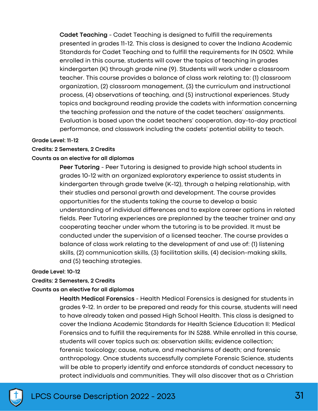**Cadet Teaching** - Cadet Teaching is designed to fulfill the requirements presented in grades 11-12. This class is designed to cover the Indiana Academic Standards for Cadet Teaching and to fulfill the requirements for IN 0502. While enrolled in this course, students will cover the topics of teaching in grades kindergarten (K) through grade nine (9). Students will work under a classroom teacher. This course provides a balance of class work relating to: (1) classroom organization, (2) classroom management, (3) the curriculum and instructional process, (4) observations of teaching, and (5) instructional experiences. Study topics and background reading provide the cadets with information concerning the teaching profession and the nature of the cadet teachers' assignments. Evaluation is based upon the cadet teachers' cooperation, day-to-day practical performance, and classwork including the cadets' potential ability to teach.

#### **Grade Level: 11-12**

#### **Credits: 2 Semesters, 2 Credits**

#### **Counts as an elective for all diplomas**

**Peer Tutoring** - Peer Tutoring is designed to provide high school students in grades 10-12 with an organized exploratory experience to assist students in kindergarten through grade twelve (K-12), through a helping relationship, with their studies and personal growth and development. The course provides opportunities for the students taking the course to develop a basic understanding of individual differences and to explore career options in related fields. Peer Tutoring experiences are preplanned by the teacher trainer and any cooperating teacher under whom the tutoring is to be provided. It must be conducted under the supervision of a licensed teacher. The course provides a balance of class work relating to the development of and use of: (1) listening skills, (2) communication skills, (3) facilitation skills, (4) decision-making skills, and (5) teaching strategies.

#### **Grade Level: 10-12**

#### **Credits: 2 Semesters, 2 Credits**

#### **Counts as an elective for all diplomas**

**Health Medical Forensics** - Health Medical Forensics is designed for students in grades 9-12. In order to be prepared and ready for this course, students will need to have already taken and passed High School Health. This class is designed to cover the Indiana Academic Standards for Health Science Education II: Medical Forensics and to fulfill the requirements for IN 5288. While enrolled in this course, students will cover topics such as: observation skills; evidence collection; forensic toxicology; cause, nature, and mechanisms of death; and forensic anthropology. Once students successfully complete Forensic Science, students will be able to properly identify and enforce standards of conduct necessary to protect individuals and communities. They will also discover that as a Christian

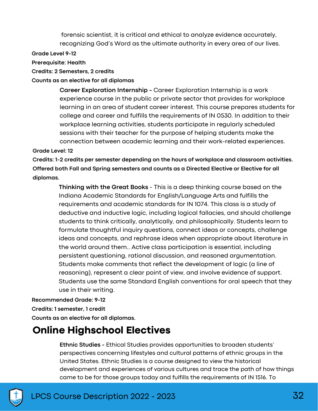forensic scientist, it is critical and ethical to analyze evidence accurately, recognizing God's Word as the ultimate authority in every area of our lives.

#### **Grade Level 9-12**

#### **Prerequisite: Health**

#### **Credits: 2 Semesters, 2 credits**

#### **Counts as an elective for all diplomas**

**Career Exploration Internship -** Career Exploration Internship is a work experience course in the public or private sector that provides for workplace learning in an area of student career interest. This course prepares students for college and career and fulfills the requirements of IN 0530. In addition to their workplace learning activities, students participate in regularly scheduled sessions with their teacher for the purpose of helping students make the connection between academic learning and their work-related experiences.

#### **Grade Level: 12**

**Credits: 1-2 credits per semester depending on the hours of workplace and classroom activities. Offered both Fall and Spring semesters and counts as a Directed Elective or Elective for all diplomas.**

**Thinking with the Great Books** - This is a deep thinking course based on the Indiana Academic Standards for English/Language Arts and fulfills the requirements and academic standards for IN 1074. This class is a study of deductive and inductive logic, including logical fallacies, and should challenge students to think critically, analytically, and philosophically. Students learn to formulate thoughtful inquiry questions, connect ideas or concepts, challenge ideas and concepts, and rephrase ideas when appropriate about literature in the world around them.. Active class participation is essential, including persistent questioning, rational discussion, and reasoned argumentation. Students make comments that reflect the development of logic (a line of reasoning), represent a clear point of view, and involve evidence of support. Students use the same Standard English conventions for oral speech that they use in their writing.

#### **Recommended Grade: 9-12**

#### **Credits: 1 semester, 1 credit**

**Counts as an elective for all diplomas.**

# **Online Highschool Electives**

**Ethnic Studies -** Ethical Studies provides opportunities to broaden students' perspectives concerning lifestyles and cultural patterns of ethnic groups in the United States. Ethnic Studies is a course designed to view the historical development and experiences of various cultures and trace the path of how things came to be for those groups today and fulfills the requirements of IN 1516. To

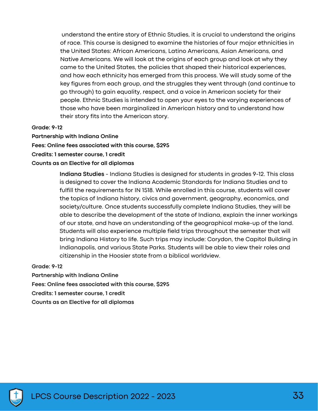understand the entire story of Ethnic Studies, it is crucial to understand the origins of race. This course is designed to examine the histories of four major ethnicities in the United States: African Americans, Latino Americans, Asian Americans, and Native Americans. We will look at the origins of each group and look at why they came to the United States, the policies that shaped their historical experiences, and how each ethnicity has emerged from this process. We will study some of the key figures from each group, and the struggles they went through (and continue to go through) to gain equality, respect, and a voice in American society for their people. Ethnic Studies is intended to open your eyes to the varying experiences of those who have been marginalized in American history and to understand how their story fits into the American story.

#### **Grade: 9-12**

**Partnership with Indiana Online Fees: Online fees associated with this course, \$295 Credits: 1 semester course, 1 credit Counts as an Elective for all diplomas**

> **Indiana Studies** - Indiana Studies is designed for students in grades 9-12. This class is designed to cover the Indiana Academic Standards for Indiana Studies and to fulfill the requirements for IN 1518. While enrolled in this course, students will cover the topics of Indiana history, civics and government, geography, economics, and society/culture. Once students successfully complete Indiana Studies, they will be able to describe the development of the state of Indiana, explain the inner workings of our state, and have an understanding of the geographical make-up of the land. Students will also experience multiple field trips throughout the semester that will bring Indiana History to life. Such trips may include: Corydon, the Capitol Building in Indianapolis, and various State Parks. Students will be able to view their roles and citizenship in the Hoosier state from a biblical worldview.

**Grade: 9-12**

**Partnership with Indiana Online**

**Fees: Online fees associated with this course, \$295**

**Credits: 1 semester course, 1 credit**

**Counts as an Elective for all diplomas**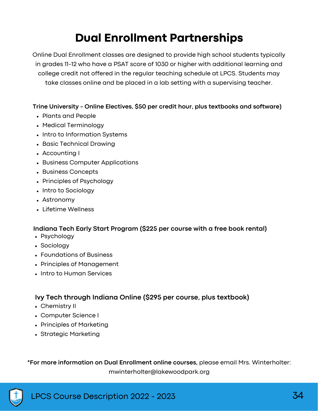# **Dual Enrollment Partnerships**

Online Dual Enrollment classes are designed to provide high school students typically in grades 11-12 who have a PSAT score of 1030 or higher with additional learning and college credit not offered in the regular teaching schedule at LPCS. Students may take classes online and be placed in a lab setting with a supervising teacher.

#### **Trine University - Online Electives, \$50 per credit hour, plus textbooks and software)**

- Plants and People
- Medical Terminology
- Intro to Information Systems
- Basic Technical Drawing
- Accounting I
- Business Computer Applications
- Business Concepts
- Principles of Psychology
- Intro to Sociology
- Astronomy
- Lifetime Wellness

#### **Indiana Tech Early Start Program (\$225 per course with a free book rental)**

- Psychology
- Sociology
- Foundations of Business
- Principles of Management
- Intro to Human Services

### **Ivy Tech through Indiana Online (\$295 per course, plus textbook)**

- Chemistry II
- Computer Science I
- Principles of Marketing
- Strategic Marketing

**\*For more information on Dual Enrollment online courses,** please email Mrs. Winterholter: mwinterholter@lakewoodpark.org

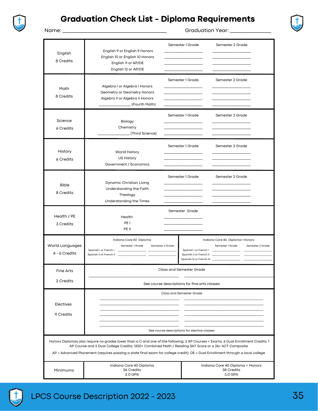

### **Graduation Check List - Diploma Requirements**



Name: \_\_\_\_\_\_\_\_\_\_\_\_\_\_\_\_\_\_\_\_\_\_\_\_\_\_\_\_\_\_\_\_\_\_\_\_\_\_\_\_\_\_\_ Graduation Year: \_\_\_\_\_\_\_\_\_\_\_\_\_\_\_\_\_

| English<br>8 Credits                                                                                                                                                                                                                                                                                                                                                         | English 9 or English 9 Honors<br>English 10 or English 10 Honors<br>English 11 or AP/DE<br>English 12 or AP/DE              | Semester 1 Grade                                                                | Semester 2 Grade                                                                                                                   |  |  |
|------------------------------------------------------------------------------------------------------------------------------------------------------------------------------------------------------------------------------------------------------------------------------------------------------------------------------------------------------------------------------|-----------------------------------------------------------------------------------------------------------------------------|---------------------------------------------------------------------------------|------------------------------------------------------------------------------------------------------------------------------------|--|--|
| Math<br>8 Credits                                                                                                                                                                                                                                                                                                                                                            | Algebra I or Algebra I Honors<br>Geometry or Geometry Honors<br>Algebra II or Algebra II Honors<br>__________ (Fourth Math) | Semester 1 Grade                                                                | Semester 2 Grade                                                                                                                   |  |  |
| Science<br>6 Credits                                                                                                                                                                                                                                                                                                                                                         | Biology<br>Chemistry<br>_________(Third Science)                                                                            | Semester 1 Grade                                                                | Semester 2 Grade                                                                                                                   |  |  |
| History<br>6 Credits                                                                                                                                                                                                                                                                                                                                                         | World History<br>US History<br>Government / Economics                                                                       | Semester 1 Grade                                                                | Semester 2 Grade                                                                                                                   |  |  |
| <b>Bible</b><br>8 Credits                                                                                                                                                                                                                                                                                                                                                    | Dynamic Christian Living<br>Understanding the Faith<br>Theology<br>Understanding the Times                                  | Semester 1 Grade                                                                | Semester 2 Grade                                                                                                                   |  |  |
| Health / PE<br>3 Credits                                                                                                                                                                                                                                                                                                                                                     | Health<br>PE <sub>1</sub><br>PE II                                                                                          | Semester Grade                                                                  |                                                                                                                                    |  |  |
| World Languages<br>4 - 6 Credits                                                                                                                                                                                                                                                                                                                                             | Indiana Core 40 Diploma<br>Semester 1 Grade<br>Spanish I or French I<br>Spanish II or French II                             | Semester 2 Grade                                                                | Indiana Core 40 Diploma+ Honors<br>Semester 1 Grade<br>Semester 2 Grade<br>Spanish II or French II __<br>Spanish III or French III |  |  |
| Fine Arts<br>2 Credits                                                                                                                                                                                                                                                                                                                                                       | Class and Semester Grade<br>See course descriptions for fine arts classes                                                   |                                                                                 |                                                                                                                                    |  |  |
| Electives<br>11 Credits                                                                                                                                                                                                                                                                                                                                                      |                                                                                                                             | <b>Class and Semester Grade</b><br>See course descriptions for elective classes |                                                                                                                                    |  |  |
| Honors Diplomas also require no grades lower than a C and one of the following: 2 AP Courses + Exams; 6 Dual Enrollment Credits; 1<br>AP Course and 3 Dual College Credits: 1250+ Combined Math / Reading SAT Score or a 26+ ACT Composite<br>AP = Advanced Placement (requires passing a state final exam for college credit); DE = Dual Enrollment through a local college |                                                                                                                             |                                                                                 |                                                                                                                                    |  |  |
| Minimums                                                                                                                                                                                                                                                                                                                                                                     | Indiana Core 40 Diploma<br>56 Credits<br>2.0 GPA                                                                            |                                                                                 | Indiana Core 40 Diploma + Honors<br>58 Credits<br>3.0 GPA                                                                          |  |  |



л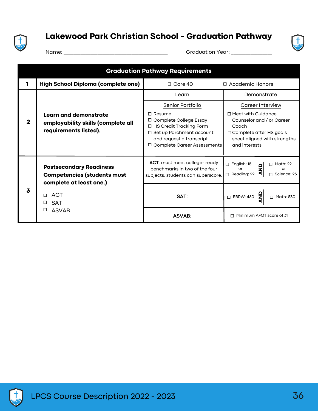

# **Lakewood Park Christian School - Graduation Pathway**



Name: \_\_\_\_\_\_\_\_\_\_\_\_\_\_\_\_\_\_\_\_\_\_\_\_\_\_\_\_\_\_\_\_\_\_\_\_\_\_\_\_\_\_\_ Graduation Year: \_\_\_\_\_\_\_\_\_\_\_\_\_\_\_\_\_

| <b>Graduation Pathway Requirements</b> |                                                                                                                                                  |                                                                                                                                                                   |                                                                                                                                                  |  |
|----------------------------------------|--------------------------------------------------------------------------------------------------------------------------------------------------|-------------------------------------------------------------------------------------------------------------------------------------------------------------------|--------------------------------------------------------------------------------------------------------------------------------------------------|--|
|                                        | High School Diploma (complete one)                                                                                                               | $\Box$ Core 40                                                                                                                                                    | □ Academic Honors                                                                                                                                |  |
| 2                                      | <b>Learn and demonstrate</b><br>employability skills (complete all<br>requirements listed).                                                      | Learn                                                                                                                                                             | Demonstrate                                                                                                                                      |  |
|                                        |                                                                                                                                                  | Senior Portfolio<br>$\Box$ Resume<br>Complete College Essay<br>□<br>$\Box$ HS Credit Tracking Form<br>$\Box$ Set up Parchment account<br>and request a transcript | Career Interview<br>□ Meet with Guidance<br>Counselor and / or Career<br>Coach<br>$\Box$ Complete after HS goals<br>sheet aligned with strengths |  |
|                                        |                                                                                                                                                  | Complete Career Assessments<br>0                                                                                                                                  | and interests                                                                                                                                    |  |
| 3                                      | <b>Postsecondary Readiness</b><br><b>Competencies (students must</b><br>complete at least one.)<br><b>ACT</b><br>п<br><b>SAT</b><br><b>ASVAB</b> | ACT: must meet college- ready<br>benchmarks in two of the four<br>subjects, students can superscore.                                                              | $\Box$ English: 18<br>Math: 22<br>п<br>$\frac{0}{2}$<br>or<br>or<br>◀<br>$\Box$ Reading: 22<br>Science: 23                                       |  |
|                                        |                                                                                                                                                  | SAT:                                                                                                                                                              | ءِ<br>z<br>□ EBRW: 480<br>Math: 530<br>П                                                                                                         |  |
|                                        |                                                                                                                                                  | <b>ASVAB:</b>                                                                                                                                                     | Minimum AFQT score of 31                                                                                                                         |  |